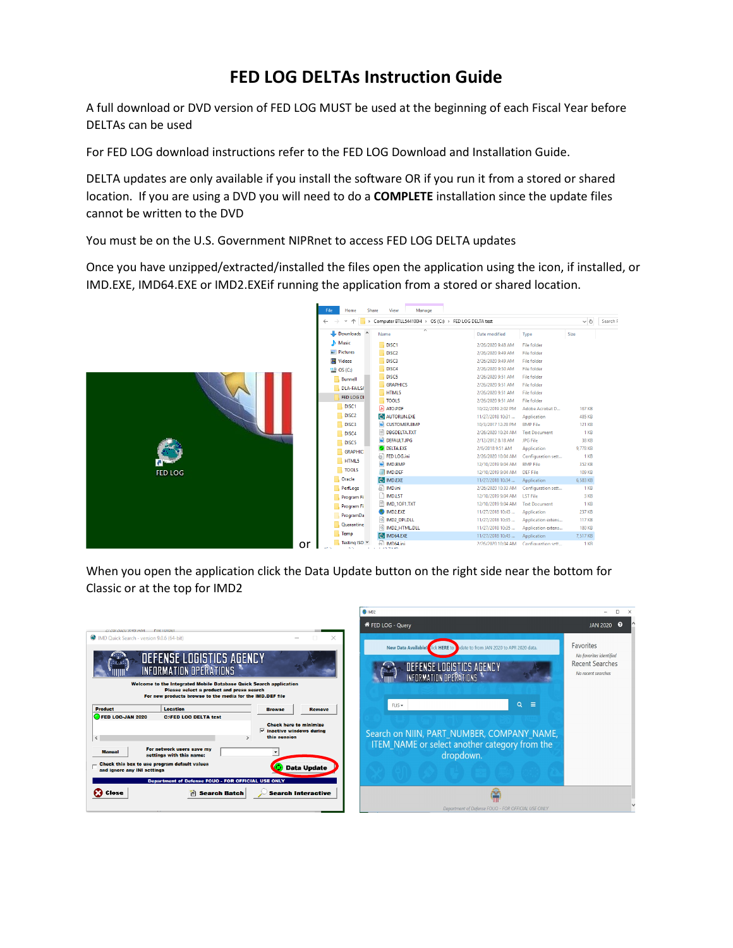## **FED LOG DELTAs Instruction Guide**

A full download or DVD version of FED LOG MUST be used at the beginning of each Fiscal Year before DELTAs can be used

For FED LOG download instructions refer to the FED LOG Download and Installation Guide.

DELTA updates are only available if you install the software OR if you run it from a stored or shared location. If you are using a DVD you will need to do a **COMPLETE** installation since the update files cannot be written to the DVD

You must be on the U.S. Government NIPRnet to access FED LOG DELTA updates

Once you have unzipped/extracted/installed the files open the application using the icon, if installed, or IMD.EXE, IMD64.EXE or IMD2.EXEif running the application from a stored or shared location.



When you open the application click the Data Update button on the right side near the bottom for Classic or at the top for IMD2

 $\sum_{n=1}^{\infty}$ 

 $\times$ 

|                                                                                                                                                                             | FED LOG - Query                                                                   | Q<br><b>JAN 2020</b>                         |
|-----------------------------------------------------------------------------------------------------------------------------------------------------------------------------|-----------------------------------------------------------------------------------|----------------------------------------------|
| MD Quick Search - version 9.0.6 (64-bit)<br>×                                                                                                                               |                                                                                   | Favorites                                    |
| DEFENSE LOGISTICS AGENCY                                                                                                                                                    | <b>New Data Available!</b><br>lick HERE to the to from JAN 2020 to APR 2020 data. | No favorites identified                      |
| INFORMATION OPERATIONS                                                                                                                                                      | DEFENSE LOGISTICS AGENCY<br>INFORMATION OPERATIONS                                | <b>Recent Searches</b><br>No recent searches |
| Welcome to the Integrated Mobile Database Quick Search application<br>Please select a product and press search<br>For new products browse to the media for the IMD.DEF file |                                                                                   |                                              |
| <b>Product</b><br><b>Location</b><br><b>Remove</b><br><b>Browse</b>                                                                                                         | $Q \equiv$<br>$FLIS -$                                                            |                                              |
| FED LOG-JAN 2020<br><b>C:\FED LOG DELTA test</b><br><b>Check here to minimize</b>                                                                                           |                                                                                   |                                              |
| ⊽<br>inactive windows during<br>this session                                                                                                                                | Search on NIIN, PART NUMBER, COMPANY NAME,                                        |                                              |
| $\overline{\phantom{a}}$<br>v<br>For network users save my                                                                                                                  | <b>ITEM NAME or select another category from the</b>                              |                                              |
| <b>Manual</b><br>settings with this name:                                                                                                                                   | dropdown.                                                                         |                                              |
| Check this box to use program default values<br><b>Data Update</b><br>and ignore any INI settings                                                                           |                                                                                   |                                              |
| <b>Department of Defense FOUO - FOR OFFICIAL USE ONLY</b>                                                                                                                   |                                                                                   |                                              |
| <b>B</b> Close<br>潧<br><b>Search Batch</b><br><b>Search Interactive</b>                                                                                                     |                                                                                   |                                              |
|                                                                                                                                                                             | Department of Defense FOUO - FOR OFFICIAL USE ONLY                                |                                              |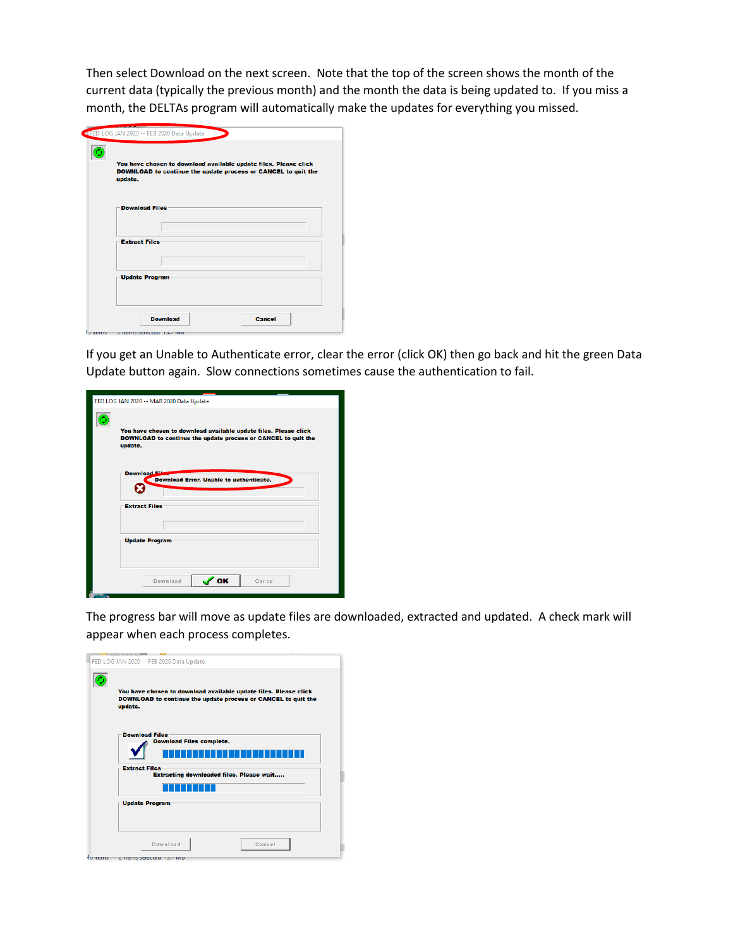Then select Download on the next screen. Note that the top of the screen shows the month of the current data (typically the previous month) and the month the data is being updated to. If you miss a month, the DELTAs program will automatically make the updates for everything you missed.

| update. | You have chosen to download available update files. Please click<br>DOWNLOAD to continue the update process or CANCEL to quit the |  |
|---------|-----------------------------------------------------------------------------------------------------------------------------------|--|
|         | <b>Download Files</b>                                                                                                             |  |
|         | <b>Extract Files</b>                                                                                                              |  |
|         | <b>Update Program</b>                                                                                                             |  |
|         |                                                                                                                                   |  |

If you get an Unable to Authenticate error, clear the error (click OK) then go back and hit the green Data Update button again. Slow connections sometimes cause the authentication to fail.

| FED LOG JAN 2020 -- MAR 2020 Data Update                                                                                                     |
|----------------------------------------------------------------------------------------------------------------------------------------------|
| You have chosen to download available update files. Please click<br>DOWNLOAD to continue the update process or CANCEL to quit the<br>update. |
| <b>Download</b><br><b>Download Error. Unable to authenticate.</b>                                                                            |
| <b>Extract Files</b>                                                                                                                         |
| <b>Update Program</b>                                                                                                                        |
| ' OK<br>Download<br>Cancel                                                                                                                   |

The progress bar will move as update files are downloaded, extracted and updated. A check mark will appear when each process completes.

| FED LOG JAN 2020 -- FEB 2020 Data Update                                                                                                     |
|----------------------------------------------------------------------------------------------------------------------------------------------|
| You have chosen to download available update files. Please click<br>DOWNLOAD to continue the update process or CANCEL to quit the<br>update. |
| <b>Download Files</b><br><b>Download Files complete.</b><br><b>Extract Files</b>                                                             |
| <b>Extracting downloaded files. Please wait</b>                                                                                              |
|                                                                                                                                              |
| <b>Update Program</b>                                                                                                                        |
| Download<br>Cancel                                                                                                                           |